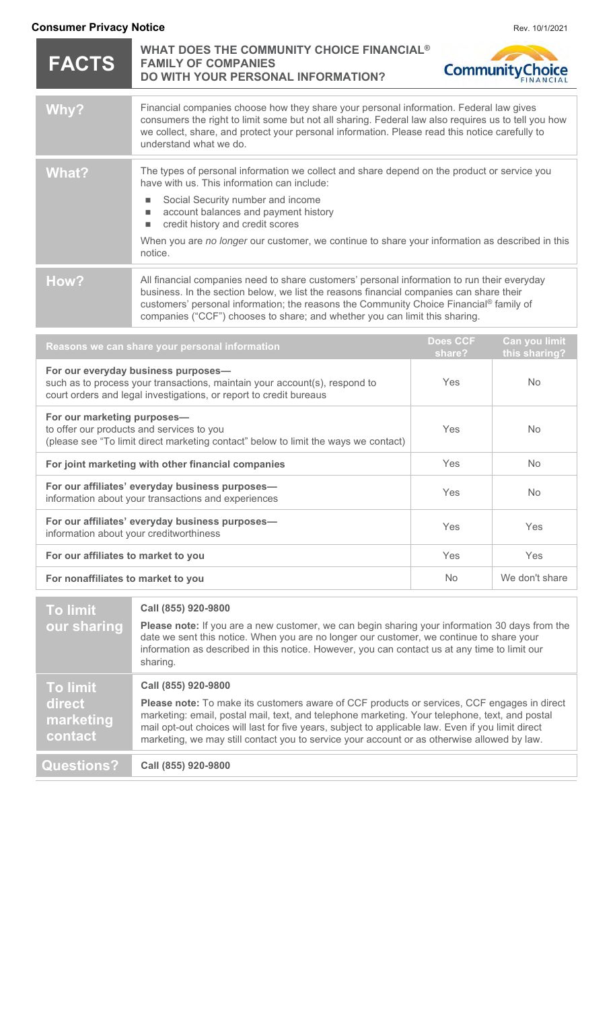| <b>Consumer Privacy Notice</b><br>Rev. 10/1/2021                                                                                                                                        |                                                                                                                                                                                                                                                                                                                                                                                                                           |                           |                                |
|-----------------------------------------------------------------------------------------------------------------------------------------------------------------------------------------|---------------------------------------------------------------------------------------------------------------------------------------------------------------------------------------------------------------------------------------------------------------------------------------------------------------------------------------------------------------------------------------------------------------------------|---------------------------|--------------------------------|
| <b>FACTS</b>                                                                                                                                                                            | WHAT DOES THE COMMUNITY CHOICE FINANCIAL <sup>®</sup><br><b>FAMILY OF COMPANIES</b><br><b>CommunityChoice</b><br>DO WITH YOUR PERSONAL INFORMATION?                                                                                                                                                                                                                                                                       |                           |                                |
| Why?                                                                                                                                                                                    | Financial companies choose how they share your personal information. Federal law gives<br>consumers the right to limit some but not all sharing. Federal law also requires us to tell you how<br>we collect, share, and protect your personal information. Please read this notice carefully to<br>understand what we do.                                                                                                 |                           |                                |
| <b>What?</b>                                                                                                                                                                            | The types of personal information we collect and share depend on the product or service you<br>have with us. This information can include:<br>Social Security number and income<br>account balances and payment history<br>ш<br>credit history and credit scores<br>$\blacksquare$<br>When you are no longer our customer, we continue to share your information as described in this<br>notice.                          |                           |                                |
| How?                                                                                                                                                                                    | All financial companies need to share customers' personal information to run their everyday<br>business. In the section below, we list the reasons financial companies can share their<br>customers' personal information; the reasons the Community Choice Financial® family of<br>companies ("CCF") chooses to share; and whether you can limit this sharing.                                                           |                           |                                |
| Reasons we can share your personal information                                                                                                                                          |                                                                                                                                                                                                                                                                                                                                                                                                                           | <b>Does CCF</b><br>share? | Can you limit<br>this sharing? |
| For our everyday business purposes-<br>such as to process your transactions, maintain your account(s), respond to<br>court orders and legal investigations, or report to credit bureaus |                                                                                                                                                                                                                                                                                                                                                                                                                           | Yes                       | <b>No</b>                      |
| For our marketing purposes-<br>to offer our products and services to you<br>(please see "To limit direct marketing contact" below to limit the ways we contact)                         |                                                                                                                                                                                                                                                                                                                                                                                                                           | Yes                       | <b>No</b>                      |
| For joint marketing with other financial companies                                                                                                                                      |                                                                                                                                                                                                                                                                                                                                                                                                                           | Yes                       | No                             |
| For our affiliates' everyday business purposes-<br>information about your transactions and experiences                                                                                  |                                                                                                                                                                                                                                                                                                                                                                                                                           | Yes                       | <b>No</b>                      |
| For our affiliates' everyday business purposes-<br>information about your creditworthiness                                                                                              |                                                                                                                                                                                                                                                                                                                                                                                                                           | Yes                       | Yes                            |
| For our affiliates to market to you                                                                                                                                                     |                                                                                                                                                                                                                                                                                                                                                                                                                           | Yes                       | Yes                            |
| For nonaffiliates to market to you                                                                                                                                                      |                                                                                                                                                                                                                                                                                                                                                                                                                           | <b>No</b>                 | We don't share                 |
| <b>To limit</b><br>our sharing                                                                                                                                                          | Call (855) 920-9800<br>Please note: If you are a new customer, we can begin sharing your information 30 days from the<br>date we sent this notice. When you are no longer our customer, we continue to share your<br>information as described in this notice. However, you can contact us at any time to limit our<br>sharing.                                                                                            |                           |                                |
| <b>To limit</b><br>direct<br>marketing<br>contact                                                                                                                                       | Call (855) 920-9800<br>Please note: To make its customers aware of CCF products or services, CCF engages in direct<br>marketing: email, postal mail, text, and telephone marketing. Your telephone, text, and postal<br>mail opt-out choices will last for five years, subject to applicable law. Even if you limit direct<br>marketing, we may still contact you to service your account or as otherwise allowed by law. |                           |                                |
| <b>Questions?</b><br>Call (855) 920-9800                                                                                                                                                |                                                                                                                                                                                                                                                                                                                                                                                                                           |                           |                                |
|                                                                                                                                                                                         |                                                                                                                                                                                                                                                                                                                                                                                                                           |                           |                                |